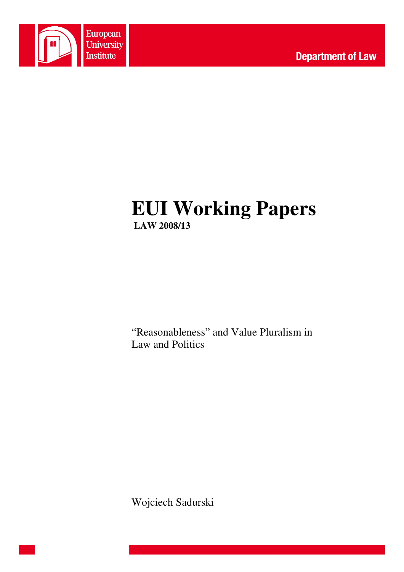

# **EUI Working Papers LAW 2008/13**

"Reasonableness" and Value Pluralism in Law and Politics

Wojciech Sadurski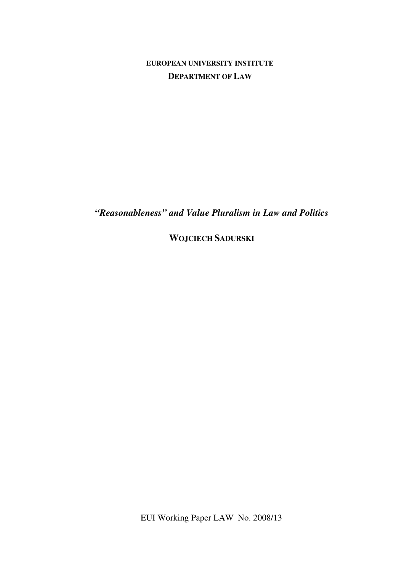**EUROPEAN UNIVERSITY INSTITUTE DEPARTMENT OF LAW**

*"Reasonableness" and Value Pluralism in Law and Politics* 

**WOJCIECH SADURSKI**

EUI Working Paper LAW No. 2008/13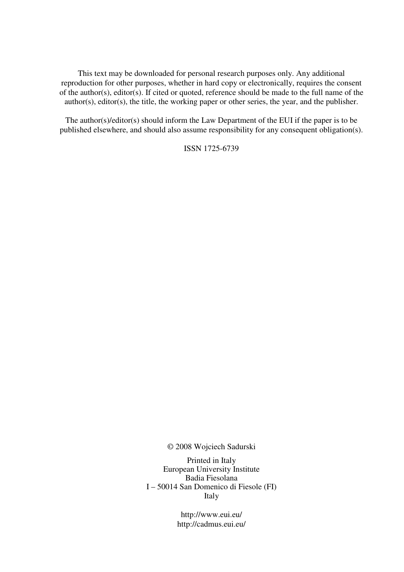This text may be downloaded for personal research purposes only. Any additional reproduction for other purposes, whether in hard copy or electronically, requires the consent of the author(s), editor(s). If cited or quoted, reference should be made to the full name of the author(s), editor(s), the title, the working paper or other series, the year, and the publisher.

The author(s)/editor(s) should inform the Law Department of the EUI if the paper is to be published elsewhere, and should also assume responsibility for any consequent obligation(s).

ISSN 1725-6739

© 2008 Wojciech Sadurski

Printed in Italy European University Institute Badia Fiesolana I – 50014 San Domenico di Fiesole (FI) Italy

> http://www.eui.eu/ http://cadmus.eui.eu/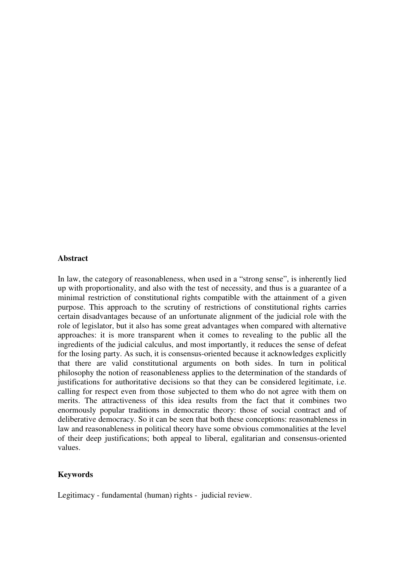#### **Abstract**

In law, the category of reasonableness, when used in a "strong sense", is inherently lied up with proportionality, and also with the test of necessity, and thus is a guarantee of a minimal restriction of constitutional rights compatible with the attainment of a given purpose. This approach to the scrutiny of restrictions of constitutional rights carries certain disadvantages because of an unfortunate alignment of the judicial role with the role of legislator, but it also has some great advantages when compared with alternative approaches: it is more transparent when it comes to revealing to the public all the ingredients of the judicial calculus, and most importantly, it reduces the sense of defeat for the losing party. As such, it is consensus-oriented because it acknowledges explicitly that there are valid constitutional arguments on both sides. In turn in political philosophy the notion of reasonableness applies to the determination of the standards of justifications for authoritative decisions so that they can be considered legitimate, i.e. calling for respect even from those subjected to them who do not agree with them on merits. The attractiveness of this idea results from the fact that it combines two enormously popular traditions in democratic theory: those of social contract and of deliberative democracy. So it can be seen that both these conceptions: reasonableness in law and reasonableness in political theory have some obvious commonalities at the level of their deep justifications; both appeal to liberal, egalitarian and consensus-oriented values.

#### **Keywords**

Legitimacy - fundamental (human) rights - judicial review.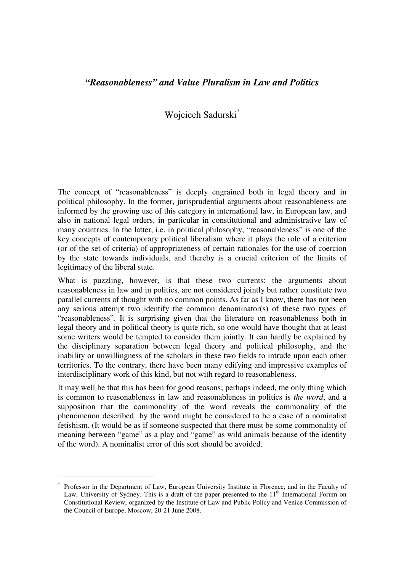# *"Reasonableness" and Value Pluralism in Law and Politics*

Wojciech Sadurski\*

The concept of "reasonableness" is deeply engrained both in legal theory and in political philosophy. In the former, jurisprudential arguments about reasonableness are informed by the growing use of this category in international law, in European law, and also in national legal orders, in particular in constitutional and administrative law of many countries. In the latter, i.e. in political philosophy, "reasonableness" is one of the key concepts of contemporary political liberalism where it plays the role of a criterion (or of the set of criteria) of appropriateness of certain rationales for the use of coercion by the state towards individuals, and thereby is a crucial criterion of the limits of legitimacy of the liberal state.

What is puzzling, however, is that these two currents: the arguments about reasonableness in law and in politics, are not considered jointly but rather constitute two parallel currents of thought with no common points. As far as I know, there has not been any serious attempt two identify the common denominator(s) of these two types of "reasonableness". It is surprising given that the literature on reasonableness both in legal theory and in political theory is quite rich, so one would have thought that at least some writers would be tempted to consider them jointly. It can hardly be explained by the disciplinary separation between legal theory and political philosophy, and the inability or unwillingness of the scholars in these two fields to intrude upon each other territories. To the contrary, there have been many edifying and impressive examples of interdisciplinary work of this kind, but not with regard to reasonableness.

It may well be that this has been for good reasons; perhaps indeed, the only thing which is common to reasonableness in law and reasonableness in politics is *the word*, and a supposition that the commonality of the word reveals the commonality of the phenomenon described by the word might be considered to be a case of a nominalist fetishism. (It would be as if someone suspected that there must be some commonality of meaning between "game" as a play and "game" as wild animals because of the identity of the word). A nominalist error of this sort should be avoided.

<sup>\*</sup> Professor in the Department of Law, European University Institute in Florence, and in the Faculty of Law, University of Sydney. This is a draft of the paper presented to the  $11<sup>th</sup>$  International Forum on Constitutional Review, organized by the Institute of Law and Public Policy and Venice Commission of the Council of Europe, Moscow, 20-21 June 2008.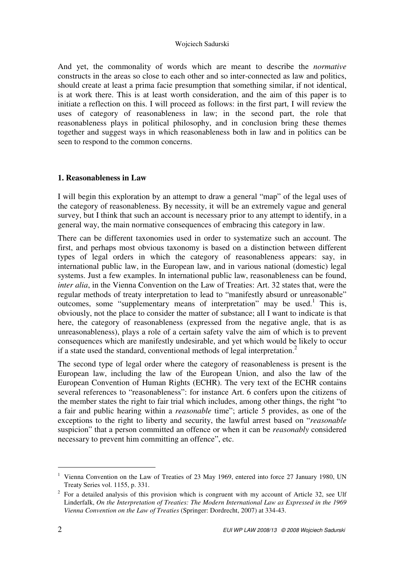And yet, the commonality of words which are meant to describe the *normative* constructs in the areas so close to each other and so inter-connected as law and politics, should create at least a prima facie presumption that something similar, if not identical, is at work there. This is at least worth consideration, and the aim of this paper is to initiate a reflection on this. I will proceed as follows: in the first part, I will review the uses of category of reasonableness in law; in the second part, the role that reasonableness plays in political philosophy, and in conclusion bring these themes together and suggest ways in which reasonableness both in law and in politics can be seen to respond to the common concerns.

### **1. Reasonableness in Law**

I will begin this exploration by an attempt to draw a general "map" of the legal uses of the category of reasonableness. By necessity, it will be an extremely vague and general survey, but I think that such an account is necessary prior to any attempt to identify, in a general way, the main normative consequences of embracing this category in law.

There can be different taxonomies used in order to systematize such an account. The first, and perhaps most obvious taxonomy is based on a distinction between different types of legal orders in which the category of reasonableness appears: say, in international public law, in the European law, and in various national (domestic) legal systems. Just a few examples. In international public law, reasonableness can be found, *inter alia*, in the Vienna Convention on the Law of Treaties: Art. 32 states that, were the regular methods of treaty interpretation to lead to "manifestly absurd or unreasonable" outcomes, some "supplementary means of interpretation" may be used.<sup>1</sup> This is, obviously, not the place to consider the matter of substance; all I want to indicate is that here, the category of reasonableness (expressed from the negative angle, that is as unreasonableness), plays a role of a certain safety valve the aim of which is to prevent consequences which are manifestly undesirable, and yet which would be likely to occur if a state used the standard, conventional methods of legal interpretation.<sup>2</sup>

The second type of legal order where the category of reasonableness is present is the European law, including the law of the European Union, and also the law of the European Convention of Human Rights (ECHR). The very text of the ECHR contains several references to "reasonableness": for instance Art. 6 confers upon the citizens of the member states the right to fair trial which includes, among other things, the right "to a fair and public hearing within a *reasonable* time"; article 5 provides, as one of the exceptions to the right to liberty and security, the lawful arrest based on "*reasonable* suspicion" that a person committed an offence or when it can be *reasonably* considered necessary to prevent him committing an offence", etc.

<sup>&</sup>lt;sup>1</sup> Vienna Convention on the Law of Treaties of 23 May 1969, entered into force 27 January 1980, UN Treaty Series vol. 1155, p. 331.

 $2^2$  For a detailed analysis of this provision which is congruent with my account of Article 32, see Ulf Linderfalk, *On the Interpretation of Treaties: The Modern International Law as Expressed in the 1969 Vienna Convention on the Law of Treaties* (Springer: Dordrecht, 2007) at 334-43.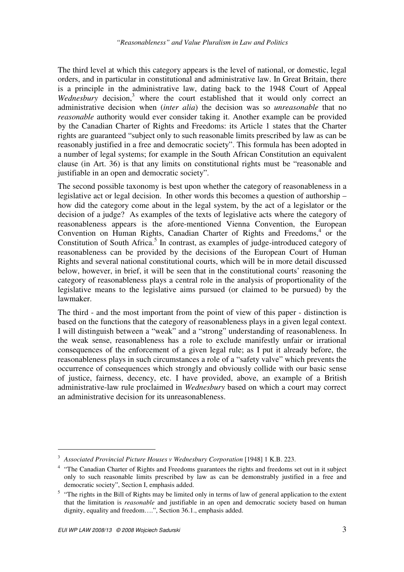The third level at which this category appears is the level of national, or domestic, legal orders, and in particular in constitutional and administrative law. In Great Britain, there is a principle in the administrative law, dating back to the 1948 Court of Appeal Wednesbury decision,<sup>3</sup> where the court established that it would only correct an administrative decision when (*inter alia*) the decision was so *unreasonable* that no *reasonable* authority would ever consider taking it. Another example can be provided by the Canadian Charter of Rights and Freedoms: its Article 1 states that the Charter rights are guaranteed "subject only to such reasonable limits prescribed by law as can be reasonably justified in a free and democratic society". This formula has been adopted in a number of legal systems; for example in the South African Constitution an equivalent clause (in Art. 36) is that any limits on constitutional rights must be "reasonable and justifiable in an open and democratic society".

The second possible taxonomy is best upon whether the category of reasonableness in a legislative act or legal decision. In other words this becomes a question of authorship – how did the category come about in the legal system, by the act of a legislator or the decision of a judge? As examples of the texts of legislative acts where the category of reasonableness appears is the afore-mentioned Vienna Convention, the European Convention on Human Rights, Canadian Charter of Rights and Freedoms,<sup>4</sup> or the Constitution of South Africa.<sup>5</sup> In contrast, as examples of judge-introduced category of reasonableness can be provided by the decisions of the European Court of Human Rights and several national constitutional courts, which will be in more detail discussed below, however, in brief, it will be seen that in the constitutional courts' reasoning the category of reasonableness plays a central role in the analysis of proportionality of the legislative means to the legislative aims pursued (or claimed to be pursued) by the lawmaker.

The third - and the most important from the point of view of this paper - distinction is based on the functions that the category of reasonableness plays in a given legal context. I will distinguish between a "weak" and a "strong" understanding of reasonableness. In the weak sense, reasonableness has a role to exclude manifestly unfair or irrational consequences of the enforcement of a given legal rule; as I put it already before, the reasonableness plays in such circumstances a role of a "safety valve" which prevents the occurrence of consequences which strongly and obviously collide with our basic sense of justice, fairness, decency, etc. I have provided, above, an example of a British administrative-law rule proclaimed in *Wednesbury* based on which a court may correct an administrative decision for its unreasonableness.

<sup>3</sup> *Associated Provincial Picture Houses v Wednesbury Corporation* [1948] 1 K.B. 223.

<sup>&</sup>lt;sup>4</sup> "The Canadian Charter of Rights and Freedoms guarantees the rights and freedoms set out in it subject only to such reasonable limits prescribed by law as can be demonstrably justified in a free and democratic society", Section I, emphasis added.

<sup>&</sup>lt;sup>5</sup> "The rights in the Bill of Rights may be limited only in terms of law of general application to the extent that the limitation is *reasonable* and justifiable in an open and democratic society based on human dignity, equality and freedom….", Section 36.1., emphasis added.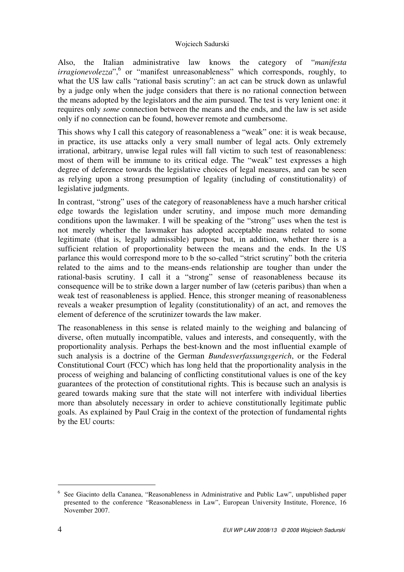Also, the Italian administrative law knows the category of "*manifesta irragionevolezza*",<sup>6</sup> or "manifest unreasonableness" which corresponds, roughly, to what the US law calls "rational basis scrutiny": an act can be struck down as unlawful by a judge only when the judge considers that there is no rational connection between the means adopted by the legislators and the aim pursued. The test is very lenient one: it requires only *some* connection between the means and the ends, and the law is set aside only if no connection can be found, however remote and cumbersome.

This shows why I call this category of reasonableness a "weak" one: it is weak because, in practice, its use attacks only a very small number of legal acts. Only extremely irrational, arbitrary, unwise legal rules will fall victim to such test of reasonableness: most of them will be immune to its critical edge. The "weak" test expresses a high degree of deference towards the legislative choices of legal measures, and can be seen as relying upon a strong presumption of legality (including of constitutionality) of legislative judgments.

In contrast, "strong" uses of the category of reasonableness have a much harsher critical edge towards the legislation under scrutiny, and impose much more demanding conditions upon the lawmaker. I will be speaking of the "strong" uses when the test is not merely whether the lawmaker has adopted acceptable means related to some legitimate (that is, legally admissible) purpose but, in addition, whether there is a sufficient relation of proportionality between the means and the ends. In the US parlance this would correspond more to b the so-called "strict scrutiny" both the criteria related to the aims and to the means-ends relationship are tougher than under the rational-basis scrutiny. I call it a "strong" sense of reasonableness because its consequence will be to strike down a larger number of law (ceteris paribus) than when a weak test of reasonableness is applied. Hence, this stronger meaning of reasonableness reveals a weaker presumption of legality (constitutionality) of an act, and removes the element of deference of the scrutinizer towards the law maker.

The reasonableness in this sense is related mainly to the weighing and balancing of diverse, often mutually incompatible, values and interests, and consequently, with the proportionality analysis. Perhaps the best-known and the most influential example of such analysis is a doctrine of the German *Bundesverfassungsgerich*, or the Federal Constitutional Court (FCC) which has long held that the proportionality analysis in the process of weighing and balancing of conflicting constitutional values is one of the key guarantees of the protection of constitutional rights. This is because such an analysis is geared towards making sure that the state will not interfere with individual liberties more than absolutely necessary in order to achieve constitutionally legitimate public goals. As explained by Paul Craig in the context of the protection of fundamental rights by the EU courts:

<sup>6</sup> See Giacinto della Cananea, "Reasonableness in Administrative and Public Law", unpublished paper presented to the conference "Reasonableness in Law", European University Institute, Florence, 16 November 2007.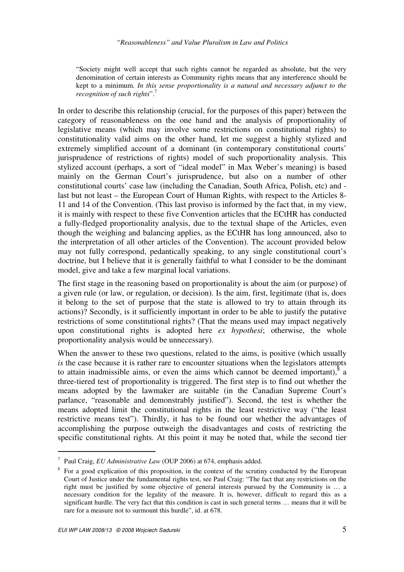"Society might well accept that such rights cannot be regarded as absolute, but the very denomination of certain interests as Community rights means that any interference should be kept to a minimum. *In this sense proportionality is a natural and necessary adjunct to the recognition of such rights*".<sup>7</sup>

In order to describe this relationship (crucial, for the purposes of this paper) between the category of reasonableness on the one hand and the analysis of proportionality of legislative means (which may involve some restrictions on constitutional rights) to constitutionality valid aims on the other hand, let me suggest a highly stylized and extremely simplified account of a dominant (in contemporary constitutional courts' jurisprudence of restrictions of rights) model of such proportionality analysis. This stylized account (perhaps, a sort of "ideal model" in Max Weber's meaning) is based mainly on the German Court's jurisprudence, but also on a number of other constitutional courts' case law (including the Canadian, South Africa, Polish, etc) and last but not least – the European Court of Human Rights, with respect to the Articles 8- 11 and 14 of the Convention. (This last proviso is informed by the fact that, in my view, it is mainly with respect to these five Convention articles that the ECtHR has conducted a fully-fledged proportionality analysis, due to the textual shape of the Articles, even though the weighing and balancing applies, as the ECtHR has long announced, also to the interpretation of all other articles of the Convention). The account provided below may not fully correspond, pedantically speaking, to any single constitutional court's doctrine, but I believe that it is generally faithful to what I consider to be the dominant model, give and take a few marginal local variations.

The first stage in the reasoning based on proportionality is about the aim (or purpose) of a given rule (or law, or regulation, or decision). Is the aim, first, legitimate (that is, does it belong to the set of purpose that the state is allowed to try to attain through its actions)? Secondly, is it sufficiently important in order to be able to justify the putative restrictions of some constitutional rights? (That the means used may impact negatively upon constitutional rights is adopted here *ex hypothesi*; otherwise, the whole proportionality analysis would be unnecessary).

When the answer to these two questions, related to the aims, is positive (which usually *is* the case because it is rather rare to encounter situations when the legislators attempts to attain inadmissible aims, or even the aims which cannot be deemed important), $^8$  a three-tiered test of proportionality is triggered. The first step is to find out whether the means adopted by the lawmaker are suitable (in the Canadian Supreme Court's parlance, "reasonable and demonstrably justified"). Second, the test is whether the means adopted limit the constitutional rights in the least restrictive way ("the least restrictive means test"). Thirdly, it has to be found our whether the advantages of accomplishing the purpose outweigh the disadvantages and costs of restricting the specific constitutional rights. At this point it may be noted that, while the second tier

<sup>7</sup> Paul Craig, *EU Administrative Law* (OUP 2006) at 674, emphasis added.

<sup>&</sup>lt;sup>8</sup> For a good explication of this proposition, in the context of the scrutiny conducted by the European Court of Justice under the fundamental rights test, see Paul Craig: "The fact that any restrictions on the right must be justified by some objective of general interests pursued by the Community is … a necessary condition for the legality of the measure. It is, however, difficult to regard this as a significant hurdle. The very fact that this condition is cast in such general terms … means that it will be rare for a measure not to surmount this hurdle", id. at 678.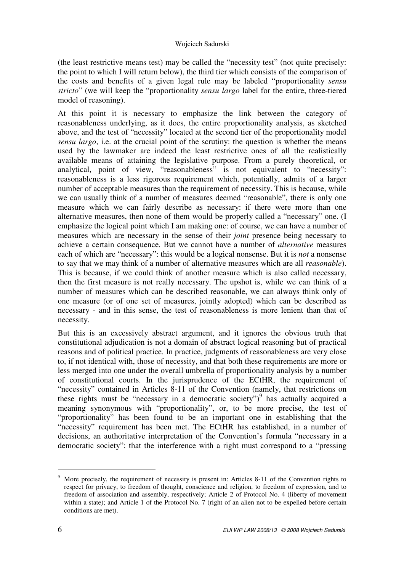(the least restrictive means test) may be called the "necessity test" (not quite precisely: the point to which I will return below), the third tier which consists of the comparison of the costs and benefits of a given legal rule may be labeled "proportionality *sensu stricto*" (we will keep the "proportionality *sensu largo* label for the entire, three-tiered model of reasoning).

At this point it is necessary to emphasize the link between the category of reasonableness underlying, as it does, the entire proportionality analysis, as sketched above, and the test of "necessity" located at the second tier of the proportionality model *sensu largo*, i.e. at the crucial point of the scrutiny: the question is whether the means used by the lawmaker are indeed the least restrictive ones of all the realistically available means of attaining the legislative purpose. From a purely theoretical, or analytical, point of view, "reasonableness" is not equivalent to "necessity": reasonableness is a less rigorous requirement which, potentially, admits of a larger number of acceptable measures than the requirement of necessity. This is because, while we can usually think of a number of measures deemed "reasonable", there is only one measure which we can fairly describe as necessary: if there were more than one alternative measures, then none of them would be properly called a "necessary" one. (I emphasize the logical point which I am making one: of course, we can have a number of measures which are necessary in the sense of their *joint* presence being necessary to achieve a certain consequence. But we cannot have a number of *alternative* measures each of which are "necessary": this would be a logical nonsense. But it is *not* a nonsense to say that we may think of a number of alternative measures which are all *reasonable*). This is because, if we could think of another measure which is also called necessary, then the first measure is not really necessary. The upshot is, while we can think of a number of measures which can be described reasonable, we can always think only of one measure (or of one set of measures, jointly adopted) which can be described as necessary - and in this sense, the test of reasonableness is more lenient than that of necessity.

But this is an excessively abstract argument, and it ignores the obvious truth that constitutional adjudication is not a domain of abstract logical reasoning but of practical reasons and of political practice. In practice, judgments of reasonableness are very close to, if not identical with, those of necessity, and that both these requirements are more or less merged into one under the overall umbrella of proportionality analysis by a number of constitutional courts. In the jurisprudence of the ECtHR, the requirement of "necessity" contained in Articles 8-11 of the Convention (namely, that restrictions on these rights must be "necessary in a democratic society") $9$  has actually acquired a meaning synonymous with "proportionality", or, to be more precise, the test of "proportionality" has been found to be an important one in establishing that the "necessity" requirement has been met. The ECtHR has established, in a number of decisions, an authoritative interpretation of the Convention's formula "necessary in a democratic society": that the interference with a right must correspond to a "pressing

<sup>9</sup> More precisely, the requirement of necessity is present in: Articles 8-11 of the Convention rights to respect for privacy, to freedom of thought, conscience and religion, to freedom of expression, and to freedom of association and assembly, respectively; Article 2 of Protocol No. 4 (liberty of movement within a state); and Article 1 of the Protocol No. 7 (right of an alien not to be expelled before certain conditions are met).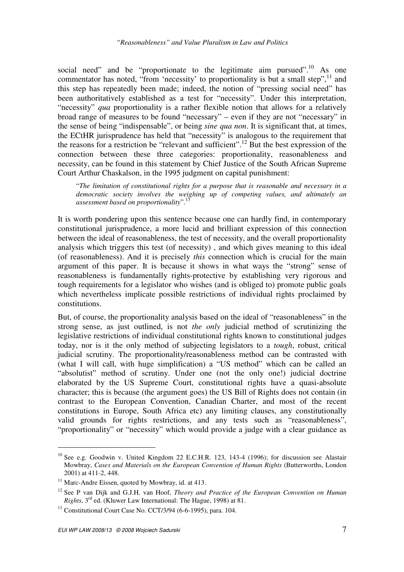social need" and be "proportionate to the legitimate aim pursued".<sup>10</sup> As one commentator has noted, "from 'necessity' to proportionality is but a small step",  $\frac{11}{11}$  and this step has repeatedly been made; indeed, the notion of "pressing social need" has been authoritatively established as a test for "necessity". Under this interpretation, "necessity" *qua* proportionality is a rather flexible notion that allows for a relatively broad range of measures to be found "necessary" – even if they are not "necessary" in the sense of being "indispensable", or being *sine qua non*. It is significant that, at times, the ECtHR jurisprudence has held that "necessity" is analogous to the requirement that the reasons for a restriction be "relevant and sufficient".<sup>12</sup> But the best expression of the connection between these three categories: proportionality, reasonableness and necessity, can be found in this statement by Chief Justice of the South African Supreme Court Arthur Chaskalson, in the 1995 judgment on capital punishment:

"*The limitation of constitutional rights for a purpose that is reasonable and necessary in a democratic society involves the weighing up of competing values, and ultimately an assessment based on proportionality*".<sup>13</sup>

It is worth pondering upon this sentence because one can hardly find, in contemporary constitutional jurisprudence, a more lucid and brilliant expression of this connection between the ideal of reasonableness, the test of necessity, and the overall proportionality analysis which triggers this test (of necessity) , and which gives meaning to this ideal (of reasonableness). And it is precisely *this* connection which is crucial for the main argument of this paper. It is because it shows in what ways the "strong" sense of reasonableness is fundamentally rights-protective by establishing very rigorous and tough requirements for a legislator who wishes (and is obliged to) promote public goals which nevertheless implicate possible restrictions of individual rights proclaimed by constitutions.

But, of course, the proportionality analysis based on the ideal of "reasonableness" in the strong sense, as just outlined, is not *the only* judicial method of scrutinizing the legislative restrictions of individual constitutional rights known to constitutional judges today, nor is it the only method of subjecting legislators to a *tough*, robust, critical judicial scrutiny. The proportionality/reasonableness method can be contrasted with (what I will call, with huge simplification) a "US method" which can be called an "absolutist" method of scrutiny. Under one (not the only one!) judicial doctrine elaborated by the US Supreme Court, constitutional rights have a quasi-absolute character; this is because (the argument goes) the US Bill of Rights does not contain (in contrast to the European Convention, Canadian Charter, and most of the recent constitutions in Europe, South Africa etc) any limiting clauses, any constitutionally valid grounds for rights restrictions, and any tests such as "reasonableness", "proportionality" or "necessity" which would provide a judge with a clear guidance as

<sup>&</sup>lt;sup>10</sup> See e.g. Goodwin v. United Kingdom 22 E.C.H.R. 123, 143-4 (1996); for discussion see Alastair Mowbray, *Cases and Materials on the European Convention of Human Rights* (Butterworths, London 2001) at 411-2, 448.

 $11$  Marc-Andre Eissen, quoted by Mowbray, id. at 413.

<sup>12</sup> See P van Dijk and G.J.H. van Hoof, *Theory and Practice of the European Convention on Human Rights*, 3rd ed. (Kluwer Law International: The Hague, 1998) at 81.

<sup>13</sup> Constitutional Court Case No. CCT/3/94 (6-6-1995), para. 104.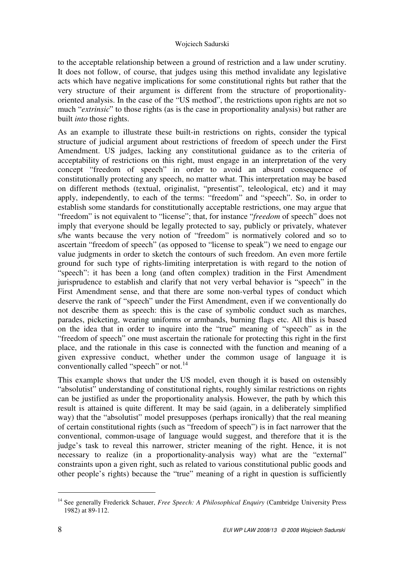to the acceptable relationship between a ground of restriction and a law under scrutiny. It does not follow, of course, that judges using this method invalidate any legislative acts which have negative implications for some constitutional rights but rather that the very structure of their argument is different from the structure of proportionalityoriented analysis. In the case of the "US method", the restrictions upon rights are not so much "*extrinsic*" to those rights (as is the case in proportionality analysis) but rather are built *into* those rights.

As an example to illustrate these built-in restrictions on rights, consider the typical structure of judicial argument about restrictions of freedom of speech under the First Amendment. US judges, lacking any constitutional guidance as to the criteria of acceptability of restrictions on this right, must engage in an interpretation of the very concept "freedom of speech" in order to avoid an absurd consequence of constitutionally protecting any speech, no matter what. This interpretation may be based on different methods (textual, originalist, "presentist", teleological, etc) and it may apply, independently, to each of the terms: "freedom" and "speech". So, in order to establish some standards for constitutionally acceptable restrictions, one may argue that "freedom" is not equivalent to "license"; that, for instance "*freedom* of speech" does not imply that everyone should be legally protected to say, publicly or privately, whatever s/he wants because the very notion of "freedom" is normatively colored and so to ascertain "freedom of speech" (as opposed to "license to speak") we need to engage our value judgments in order to sketch the contours of such freedom. An even more fertile ground for such type of rights-limiting interpretation is with regard to the notion of "speech": it has been a long (and often complex) tradition in the First Amendment jurisprudence to establish and clarify that not very verbal behavior is "speech" in the First Amendment sense, and that there are some non-verbal types of conduct which deserve the rank of "speech" under the First Amendment, even if we conventionally do not describe them as speech: this is the case of symbolic conduct such as marches, parades, picketing, wearing uniforms or armbands, burning flags etc. All this is based on the idea that in order to inquire into the "true" meaning of "speech" as in the "freedom of speech" one must ascertain the rationale for protecting this right in the first place, and the rationale in this case is connected with the function and meaning of a given expressive conduct, whether under the common usage of language it is conventionally called "speech" or not.<sup>14</sup>

This example shows that under the US model, even though it is based on ostensibly "absolutist" understanding of constitutional rights, roughly similar restrictions on rights can be justified as under the proportionality analysis. However, the path by which this result is attained is quite different. It may be said (again, in a deliberately simplified way) that the "absolutist" model presupposes (perhaps ironically) that the real meaning of certain constitutional rights (such as "freedom of speech") is in fact narrower that the conventional, common-usage of language would suggest, and therefore that it is the judge's task to reveal this narrower, stricter meaning of the right. Hence, it is not necessary to realize (in a proportionality-analysis way) what are the "external" constraints upon a given right, such as related to various constitutional public goods and other people's rights) because the "true" meaning of a right in question is sufficiently

<sup>14</sup> See generally Frederick Schauer, *Free Speech: A Philosophical Enquiry* (Cambridge University Press 1982) at 89-112.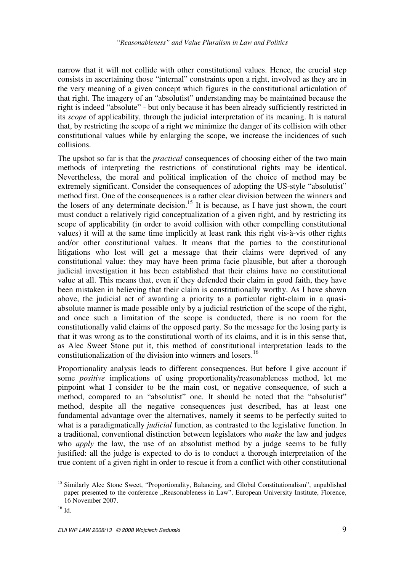narrow that it will not collide with other constitutional values. Hence, the crucial step consists in ascertaining those "internal" constraints upon a right, involved as they are in the very meaning of a given concept which figures in the constitutional articulation of that right. The imagery of an "absolutist" understanding may be maintained because the right is indeed "absolute" - but only because it has been already sufficiently restricted in its *scope* of applicability, through the judicial interpretation of its meaning. It is natural that, by restricting the scope of a right we minimize the danger of its collision with other constitutional values while by enlarging the scope, we increase the incidences of such collisions.

The upshot so far is that the *practical* consequences of choosing either of the two main methods of interpreting the restrictions of constitutional rights may be identical. Nevertheless, the moral and political implication of the choice of method may be extremely significant. Consider the consequences of adopting the US-style "absolutist" method first. One of the consequences is a rather clear division between the winners and the losers of any determinate decision.<sup>15</sup> It is because, as I have just shown, the court must conduct a relatively rigid conceptualization of a given right, and by restricting its scope of applicability (in order to avoid collision with other compelling constitutional values) it will at the same time implicitly at least rank this right vis-à-vis other rights and/or other constitutional values. It means that the parties to the constitutional litigations who lost will get a message that their claims were deprived of any constitutional value: they may have been prima facie plausible, but after a thorough judicial investigation it has been established that their claims have no constitutional value at all. This means that, even if they defended their claim in good faith, they have been mistaken in believing that their claim is constitutionally worthy. As I have shown above, the judicial act of awarding a priority to a particular right-claim in a quasiabsolute manner is made possible only by a judicial restriction of the scope of the right, and once such a limitation of the scope is conducted, there is no room for the constitutionally valid claims of the opposed party. So the message for the losing party is that it was wrong as to the constitutional worth of its claims, and it is in this sense that, as Alec Sweet Stone put it, this method of constitutional interpretation leads to the constitutionalization of the division into winners and losers.<sup>16</sup>

Proportionality analysis leads to different consequences. But before I give account if some *positive* implications of using proportionality/reasonableness method, let me pinpoint what I consider to be the main cost, or negative consequence, of such a method, compared to an "absolutist" one. It should be noted that the "absolutist" method, despite all the negative consequences just described, has at least one fundamental advantage over the alternatives, namely it seems to be perfectly suited to what is a paradigmatically *judicial* function, as contrasted to the legislative function. In a traditional, conventional distinction between legislators who *make* the law and judges who *apply* the law, the use of an absolutist method by a judge seems to be fully justified: all the judge is expected to do is to conduct a thorough interpretation of the true content of a given right in order to rescue it from a conflict with other constitutional

<sup>&</sup>lt;sup>15</sup> Similarly Alec Stone Sweet, "Proportionality, Balancing, and Global Constitutionalism", unpublished paper presented to the conference "Reasonableness in Law", European University Institute, Florence, 16 November 2007.

<sup>16</sup> Id.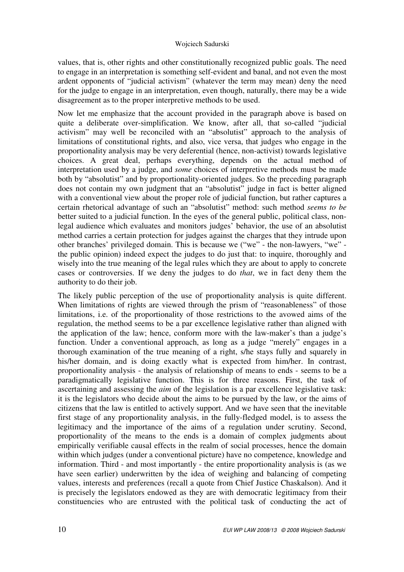values, that is, other rights and other constitutionally recognized public goals. The need to engage in an interpretation is something self-evident and banal, and not even the most ardent opponents of "judicial activism" (whatever the term may mean) deny the need for the judge to engage in an interpretation, even though, naturally, there may be a wide disagreement as to the proper interpretive methods to be used.

Now let me emphasize that the account provided in the paragraph above is based on quite a deliberate over-simplification. We know, after all, that so-called "judicial activism" may well be reconciled with an "absolutist" approach to the analysis of limitations of constitutional rights, and also, vice versa, that judges who engage in the proportionality analysis may be very deferential (hence, non-activist) towards legislative choices. A great deal, perhaps everything, depends on the actual method of interpretation used by a judge, and *some* choices of interpretive methods must be made both by "absolutist" and by proportionality-oriented judges. So the preceding paragraph does not contain my own judgment that an "absolutist" judge in fact is better aligned with a conventional view about the proper role of judicial function, but rather captures a certain rhetorical advantage of such an "absolutist" method: such method *seems to be* better suited to a judicial function. In the eyes of the general public, political class, nonlegal audience which evaluates and monitors judges' behavior, the use of an absolutist method carries a certain protection for judges against the charges that they intrude upon other branches' privileged domain. This is because we ("we" - the non-lawyers, "we" the public opinion) indeed expect the judges to do just that: to inquire, thoroughly and wisely into the true meaning of the legal rules which they are about to apply to concrete cases or controversies. If we deny the judges to do *that*, we in fact deny them the authority to do their job.

The likely public perception of the use of proportionality analysis is quite different. When limitations of rights are viewed through the prism of "reasonableness" of those limitations, i.e. of the proportionality of those restrictions to the avowed aims of the regulation, the method seems to be a par excellence legislative rather than aligned with the application of the law; hence, conform more with the law-maker's than a judge's function. Under a conventional approach, as long as a judge "merely" engages in a thorough examination of the true meaning of a right, s/he stays fully and squarely in his/her domain, and is doing exactly what is expected from him/her. In contrast, proportionality analysis - the analysis of relationship of means to ends - seems to be a paradigmatically legislative function. This is for three reasons. First, the task of ascertaining and assessing the *aim* of the legislation is a par excellence legislative task: it is the legislators who decide about the aims to be pursued by the law, or the aims of citizens that the law is entitled to actively support. And we have seen that the inevitable first stage of any proportionality analysis, in the fully-fledged model, is to assess the legitimacy and the importance of the aims of a regulation under scrutiny. Second, proportionality of the means to the ends is a domain of complex judgments about empirically verifiable causal effects in the realm of social processes, hence the domain within which judges (under a conventional picture) have no competence, knowledge and information. Third - and most importantly - the entire proportionality analysis is (as we have seen earlier) underwritten by the idea of weighing and balancing of competing values, interests and preferences (recall a quote from Chief Justice Chaskalson). And it is precisely the legislators endowed as they are with democratic legitimacy from their constituencies who are entrusted with the political task of conducting the act of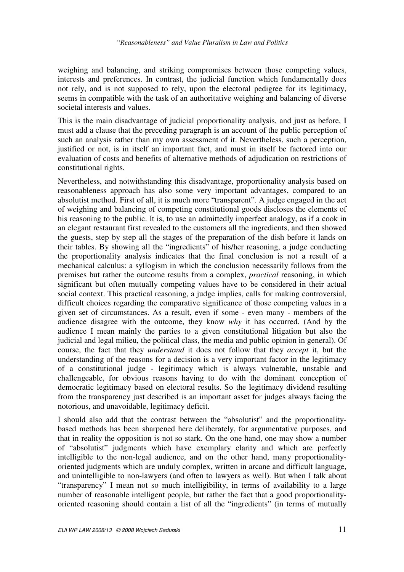weighing and balancing, and striking compromises between those competing values, interests and preferences. In contrast, the judicial function which fundamentally does not rely, and is not supposed to rely, upon the electoral pedigree for its legitimacy, seems in compatible with the task of an authoritative weighing and balancing of diverse societal interests and values.

This is the main disadvantage of judicial proportionality analysis, and just as before, I must add a clause that the preceding paragraph is an account of the public perception of such an analysis rather than my own assessment of it. Nevertheless, such a perception, justified or not, is in itself an important fact, and must in itself be factored into our evaluation of costs and benefits of alternative methods of adjudication on restrictions of constitutional rights.

Nevertheless, and notwithstanding this disadvantage, proportionality analysis based on reasonableness approach has also some very important advantages, compared to an absolutist method. First of all, it is much more "transparent". A judge engaged in the act of weighing and balancing of competing constitutional goods discloses the elements of his reasoning to the public. It is, to use an admittedly imperfect analogy, as if a cook in an elegant restaurant first revealed to the customers all the ingredients, and then showed the guests, step by step all the stages of the preparation of the dish before it lands on their tables. By showing all the "ingredients" of his/her reasoning, a judge conducting the proportionality analysis indicates that the final conclusion is not a result of a mechanical calculus: a syllogism in which the conclusion necessarily follows from the premises but rather the outcome results from a complex, *practical* reasoning, in which significant but often mutually competing values have to be considered in their actual social context. This practical reasoning, a judge implies, calls for making controversial, difficult choices regarding the comparative significance of those competing values in a given set of circumstances. As a result, even if some - even many - members of the audience disagree with the outcome, they know *why* it has occurred. (And by the audience I mean mainly the parties to a given constitutional litigation but also the judicial and legal milieu, the political class, the media and public opinion in general). Of course, the fact that they *understand* it does not follow that they *accept* it, but the understanding of the reasons for a decision is a very important factor in the legitimacy of a constitutional judge - legitimacy which is always vulnerable, unstable and challengeable, for obvious reasons having to do with the dominant conception of democratic legitimacy based on electoral results. So the legitimacy dividend resulting from the transparency just described is an important asset for judges always facing the notorious, and unavoidable, legitimacy deficit.

I should also add that the contrast between the "absolutist" and the proportionalitybased methods has been sharpened here deliberately, for argumentative purposes, and that in reality the opposition is not so stark. On the one hand, one may show a number of "absolutist" judgments which have exemplary clarity and which are perfectly intelligible to the non-legal audience, and on the other hand, many proportionalityoriented judgments which are unduly complex, written in arcane and difficult language, and unintelligible to non-lawyers (and often to lawyers as well). But when I talk about "transparency" I mean not so much intelligibility, in terms of availability to a large number of reasonable intelligent people, but rather the fact that a good proportionalityoriented reasoning should contain a list of all the "ingredients" (in terms of mutually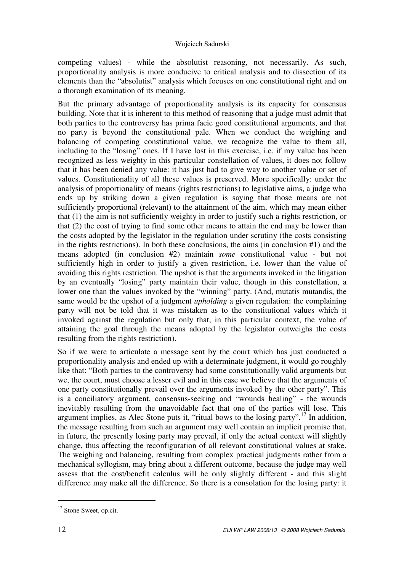competing values) - while the absolutist reasoning, not necessarily. As such, proportionality analysis is more conducive to critical analysis and to dissection of its elements than the "absolutist" analysis which focuses on one constitutional right and on a thorough examination of its meaning.

But the primary advantage of proportionality analysis is its capacity for consensus building. Note that it is inherent to this method of reasoning that a judge must admit that both parties to the controversy has prima facie good constitutional arguments, and that no party is beyond the constitutional pale. When we conduct the weighing and balancing of competing constitutional value, we recognize the value to them all, including to the "losing" ones. If I have lost in this exercise, i.e. if my value has been recognized as less weighty in this particular constellation of values, it does not follow that it has been denied any value: it has just had to give way to another value or set of values. Constitutionality of all these values is preserved. More specifically: under the analysis of proportionality of means (rights restrictions) to legislative aims, a judge who ends up by striking down a given regulation is saying that those means are not sufficiently proportional (relevant) to the attainment of the aim, which may mean either that (1) the aim is not sufficiently weighty in order to justify such a rights restriction, or that (2) the cost of trying to find some other means to attain the end may be lower than the costs adopted by the legislator in the regulation under scrutiny (the costs consisting in the rights restrictions). In both these conclusions, the aims (in conclusion #1) and the means adopted (in conclusion #2) maintain *some* constitutional value - but not sufficiently high in order to justify a given restriction, i.e. lower than the value of avoiding this rights restriction. The upshot is that the arguments invoked in the litigation by an eventually "losing" party maintain their value, though in this constellation, a lower one than the values invoked by the "winning" party. (And, mutatis mutandis, the same would be the upshot of a judgment *upholding* a given regulation: the complaining party will not be told that it was mistaken as to the constitutional values which it invoked against the regulation but only that, in this particular context, the value of attaining the goal through the means adopted by the legislator outweighs the costs resulting from the rights restriction).

So if we were to articulate a message sent by the court which has just conducted a proportionality analysis and ended up with a determinate judgment, it would go roughly like that: "Both parties to the controversy had some constitutionally valid arguments but we, the court, must choose a lesser evil and in this case we believe that the arguments of one party constitutionally prevail over the arguments invoked by the other party". This is a conciliatory argument, consensus-seeking and "wounds healing" - the wounds inevitably resulting from the unavoidable fact that one of the parties will lose. This argument implies, as Alec Stone puts it, "ritual bows to the losing party".<sup>17</sup> In addition, the message resulting from such an argument may well contain an implicit promise that, in future, the presently losing party may prevail, if only the actual context will slightly change, thus affecting the reconfiguration of all relevant constitutional values at stake. The weighing and balancing, resulting from complex practical judgments rather from a mechanical syllogism, may bring about a different outcome, because the judge may well assess that the cost/benefit calculus will be only slightly different - and this slight difference may make all the difference. So there is a consolation for the losing party: it

<sup>&</sup>lt;sup>17</sup> Stone Sweet, op.cit.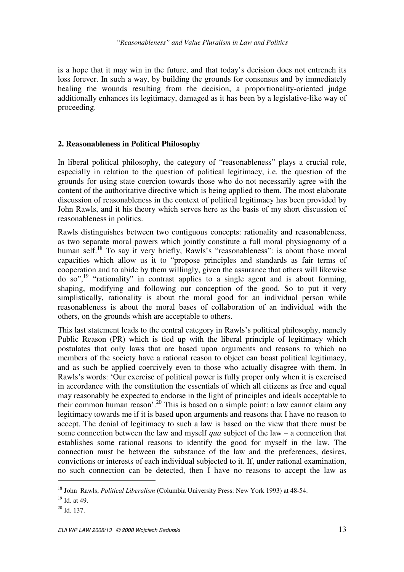is a hope that it may win in the future, and that today's decision does not entrench its loss forever. In such a way, by building the grounds for consensus and by immediately healing the wounds resulting from the decision, a proportionality-oriented judge additionally enhances its legitimacy, damaged as it has been by a legislative-like way of proceeding.

# **2. Reasonableness in Political Philosophy**

In liberal political philosophy, the category of "reasonableness" plays a crucial role, especially in relation to the question of political legitimacy, i.e. the question of the grounds for using state coercion towards those who do not necessarily agree with the content of the authoritative directive which is being applied to them. The most elaborate discussion of reasonableness in the context of political legitimacy has been provided by John Rawls, and it his theory which serves here as the basis of my short discussion of reasonableness in politics.

Rawls distinguishes between two contiguous concepts: rationality and reasonableness, as two separate moral powers which jointly constitute a full moral physiognomy of a human self.<sup>18</sup> To say it very briefly, Rawls's "reasonableness": is about those moral capacities which allow us it to "propose principles and standards as fair terms of cooperation and to abide by them willingly, given the assurance that others will likewise  $\sigma$  so",<sup>19</sup> "rationality" in contrast applies to a single agent and is about forming, shaping, modifying and following our conception of the good. So to put it very simplistically, rationality is about the moral good for an individual person while reasonableness is about the moral bases of collaboration of an individual with the others, on the grounds whish are acceptable to others.

This last statement leads to the central category in Rawls's political philosophy, namely Public Reason (PR) which is tied up with the liberal principle of legitimacy which postulates that only laws that are based upon arguments and reasons to which no members of the society have a rational reason to object can boast political legitimacy, and as such be applied coercively even to those who actually disagree with them. In Rawls's words: 'Our exercise of political power is fully proper only when it is exercised in accordance with the constitution the essentials of which all citizens as free and equal may reasonably be expected to endorse in the light of principles and ideals acceptable to their common human reason'.<sup>20</sup> This is based on a simple point: a law cannot claim any legitimacy towards me if it is based upon arguments and reasons that I have no reason to accept. The denial of legitimacy to such a law is based on the view that there must be some connection between the law and myself *qua* subject of the law – a connection that establishes some rational reasons to identify the good for myself in the law. The connection must be between the substance of the law and the preferences, desires, convictions or interests of each individual subjected to it. If, under rational examination, no such connection can be detected, then I have no reasons to accept the law as

<sup>18</sup> John Rawls, *Political Liberalism* (Columbia University Press: New York 1993) at 48-54.

 $19$  Id. at 49.

 $20$  Id. 137.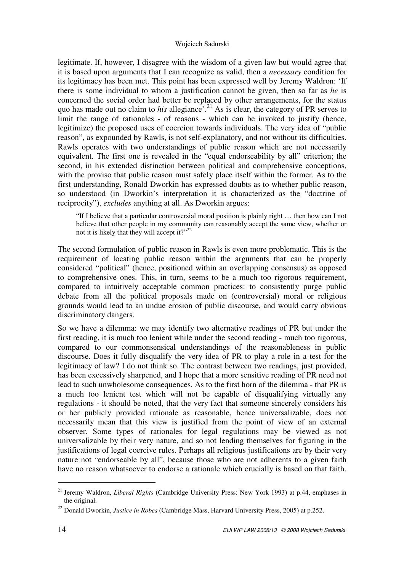legitimate. If, however, I disagree with the wisdom of a given law but would agree that it is based upon arguments that I can recognize as valid, then a *necessary* condition for its legitimacy has been met. This point has been expressed well by Jeremy Waldron: 'If there is some individual to whom a justification cannot be given, then so far as *he* is concerned the social order had better be replaced by other arrangements, for the status quo has made out no claim to *his* allegiance'.<sup>21</sup> As is clear, the category of PR serves to limit the range of rationales - of reasons - which can be invoked to justify (hence, legitimize) the proposed uses of coercion towards individuals. The very idea of "public reason", as expounded by Rawls, is not self-explanatory, and not without its difficulties. Rawls operates with two understandings of public reason which are not necessarily equivalent. The first one is revealed in the "equal endorseability by all" criterion; the second, in his extended distinction between political and comprehensive conceptions, with the proviso that public reason must safely place itself within the former. As to the first understanding, Ronald Dworkin has expressed doubts as to whether public reason, so understood (in Dworkin's interpretation it is characterized as the "doctrine of reciprocity"), *excludes* anything at all. As Dworkin argues:

"If I believe that a particular controversial moral position is plainly right … then how can I not believe that other people in my community can reasonably accept the same view, whether or not it is likely that they will accept it?" $2^{2}$ 

The second formulation of public reason in Rawls is even more problematic. This is the requirement of locating public reason within the arguments that can be properly considered "political" (hence, positioned within an overlapping consensus) as opposed to comprehensive ones. This, in turn, seems to be a much too rigorous requirement, compared to intuitively acceptable common practices: to consistently purge public debate from all the political proposals made on (controversial) moral or religious grounds would lead to an undue erosion of public discourse, and would carry obvious discriminatory dangers.

So we have a dilemma: we may identify two alternative readings of PR but under the first reading, it is much too lenient while under the second reading - much too rigorous, compared to our commonsensical understandings of the reasonableness in public discourse. Does it fully disqualify the very idea of PR to play a role in a test for the legitimacy of law? I do not think so. The contrast between two readings, just provided, has been excessively sharpened, and I hope that a more sensitive reading of PR need not lead to such unwholesome consequences. As to the first horn of the dilemma - that PR is a much too lenient test which will not be capable of disqualifying virtually any regulations - it should be noted, that the very fact that someone sincerely considers his or her publicly provided rationale as reasonable, hence universalizable, does not necessarily mean that this view is justified from the point of view of an external observer. Some types of rationales for legal regulations may be viewed as not universalizable by their very nature, and so not lending themselves for figuring in the justifications of legal coercive rules. Perhaps all religious justifications are by their very nature not "endorseable by all", because those who are not adherents to a given faith have no reason whatsoever to endorse a rationale which crucially is based on that faith.

<sup>21</sup> Jeremy Waldron, *Liberal Rights* (Cambridge University Press: New York 1993) at p.44, emphases in the original.

<sup>22</sup> Donald Dworkin, *Justice in Robes* (Cambridge Mass, Harvard University Press, 2005) at p.252.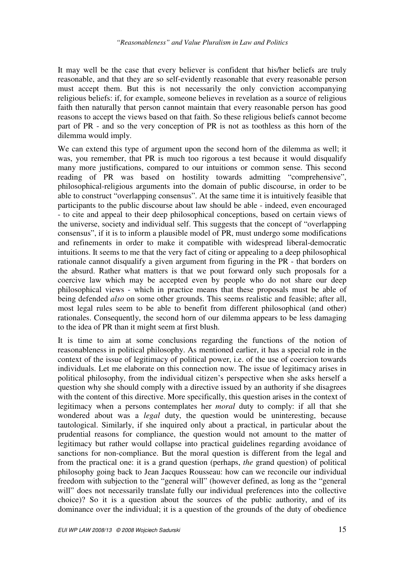It may well be the case that every believer is confident that his/her beliefs are truly reasonable, and that they are so self-evidently reasonable that every reasonable person must accept them. But this is not necessarily the only conviction accompanying religious beliefs: if, for example, someone believes in revelation as a source of religious faith then naturally that person cannot maintain that every reasonable person has good reasons to accept the views based on that faith. So these religious beliefs cannot become part of PR - and so the very conception of PR is not as toothless as this horn of the dilemma would imply.

We can extend this type of argument upon the second horn of the dilemma as well; it was, you remember, that PR is much too rigorous a test because it would disqualify many more justifications, compared to our intuitions or common sense. This second reading of PR was based on hostility towards admitting "comprehensive", philosophical-religious arguments into the domain of public discourse, in order to be able to construct "overlapping consensus". At the same time it is intuitively feasible that participants to the public discourse about law should be able - indeed, even encouraged - to cite and appeal to their deep philosophical conceptions, based on certain views of the universe, society and individual self. This suggests that the concept of "overlapping consensus", if it is to inform a plausible model of PR, must undergo some modifications and refinements in order to make it compatible with widespread liberal-democratic intuitions. It seems to me that the very fact of citing or appealing to a deep philosophical rationale cannot disqualify a given argument from figuring in the PR - that borders on the absurd. Rather what matters is that we pout forward only such proposals for a coercive law which may be accepted even by people who do not share our deep philosophical views - which in practice means that these proposals must be able of being defended *also* on some other grounds. This seems realistic and feasible; after all, most legal rules seem to be able to benefit from different philosophical (and other) rationales. Consequently, the second horn of our dilemma appears to be less damaging to the idea of PR than it might seem at first blush.

It is time to aim at some conclusions regarding the functions of the notion of reasonableness in political philosophy. As mentioned earlier, it has a special role in the context of the issue of legitimacy of political power, i.e. of the use of coercion towards individuals. Let me elaborate on this connection now. The issue of legitimacy arises in political philosophy, from the individual citizen's perspective when she asks herself a question why she should comply with a directive issued by an authority if she disagrees with the content of this directive. More specifically, this question arises in the context of legitimacy when a persons contemplates her *moral* duty to comply: if all that she wondered about was a *legal* duty, the question would be uninteresting, because tautological. Similarly, if she inquired only about a practical, in particular about the prudential reasons for compliance, the question would not amount to the matter of legitimacy but rather would collapse into practical guidelines regarding avoidance of sanctions for non-compliance. But the moral question is different from the legal and from the practical one: it is a grand question (perhaps, *the* grand question) of political philosophy going back to Jean Jacques Rousseau: how can we reconcile our individual freedom with subjection to the "general will" (however defined, as long as the "general will" does not necessarily translate fully our individual preferences into the collective choice)? So it is a question about the sources of the public authority, and of its dominance over the individual; it is a question of the grounds of the duty of obedience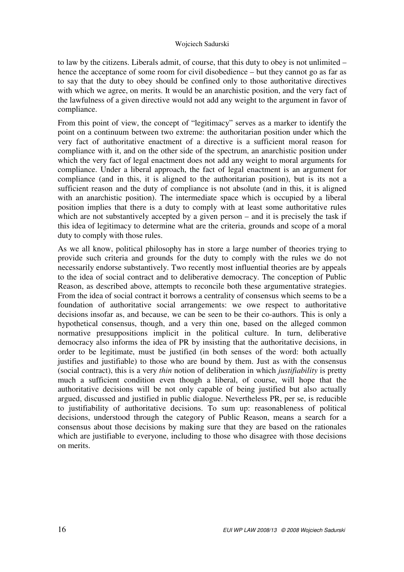to law by the citizens. Liberals admit, of course, that this duty to obey is not unlimited – hence the acceptance of some room for civil disobedience – but they cannot go as far as to say that the duty to obey should be confined only to those authoritative directives with which we agree, on merits. It would be an anarchistic position, and the very fact of the lawfulness of a given directive would not add any weight to the argument in favor of compliance.

From this point of view, the concept of "legitimacy" serves as a marker to identify the point on a continuum between two extreme: the authoritarian position under which the very fact of authoritative enactment of a directive is a sufficient moral reason for compliance with it, and on the other side of the spectrum, an anarchistic position under which the very fact of legal enactment does not add any weight to moral arguments for compliance. Under a liberal approach, the fact of legal enactment is an argument for compliance (and in this, it is aligned to the authoritarian position), but is its not a sufficient reason and the duty of compliance is not absolute (and in this, it is aligned with an anarchistic position). The intermediate space which is occupied by a liberal position implies that there is a duty to comply with at least some authoritative rules which are not substantively accepted by a given person – and it is precisely the task if this idea of legitimacy to determine what are the criteria, grounds and scope of a moral duty to comply with those rules.

As we all know, political philosophy has in store a large number of theories trying to provide such criteria and grounds for the duty to comply with the rules we do not necessarily endorse substantively. Two recently most influential theories are by appeals to the idea of social contract and to deliberative democracy. The conception of Public Reason, as described above, attempts to reconcile both these argumentative strategies. From the idea of social contract it borrows a centrality of consensus which seems to be a foundation of authoritative social arrangements: we owe respect to authoritative decisions insofar as, and because, we can be seen to be their co-authors. This is only a hypothetical consensus, though, and a very thin one, based on the alleged common normative presuppositions implicit in the political culture. In turn, deliberative democracy also informs the idea of PR by insisting that the authoritative decisions, in order to be legitimate, must be justified (in both senses of the word: both actually justifies and justifiable) to those who are bound by them. Just as with the consensus (social contract), this is a very *thin* notion of deliberation in which *justifiability* is pretty much a sufficient condition even though a liberal, of course, will hope that the authoritative decisions will be not only capable of being justified but also actually argued, discussed and justified in public dialogue. Nevertheless PR, per se, is reducible to justifiability of authoritative decisions. To sum up: reasonableness of political decisions, understood through the category of Public Reason, means a search for a consensus about those decisions by making sure that they are based on the rationales which are justifiable to everyone, including to those who disagree with those decisions on merits.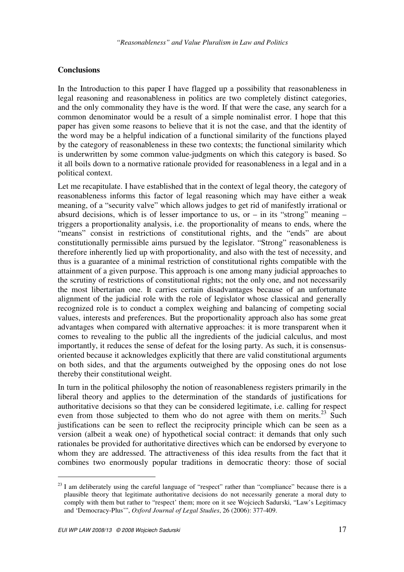# **Conclusions**

In the Introduction to this paper I have flagged up a possibility that reasonableness in legal reasoning and reasonableness in politics are two completely distinct categories, and the only commonality they have is the word. If that were the case, any search for a common denominator would be a result of a simple nominalist error. I hope that this paper has given some reasons to believe that it is not the case, and that the identity of the word may be a helpful indication of a functional similarity of the functions played by the category of reasonableness in these two contexts; the functional similarity which is underwritten by some common value-judgments on which this category is based. So it all boils down to a normative rationale provided for reasonableness in a legal and in a political context.

Let me recapitulate. I have established that in the context of legal theory, the category of reasonableness informs this factor of legal reasoning which may have either a weak meaning, of a "security valve" which allows judges to get rid of manifestly irrational or absurd decisions, which is of lesser importance to us, or  $-$  in its "strong" meaning  $$ triggers a proportionality analysis, i.e. the proportionality of means to ends, where the "means" consist in restrictions of constitutional rights, and the "ends" are about constitutionally permissible aims pursued by the legislator. "Strong" reasonableness is therefore inherently lied up with proportionality, and also with the test of necessity, and thus is a guarantee of a minimal restriction of constitutional rights compatible with the attainment of a given purpose. This approach is one among many judicial approaches to the scrutiny of restrictions of constitutional rights; not the only one, and not necessarily the most libertarian one. It carries certain disadvantages because of an unfortunate alignment of the judicial role with the role of legislator whose classical and generally recognized role is to conduct a complex weighing and balancing of competing social values, interests and preferences. But the proportionality approach also has some great advantages when compared with alternative approaches: it is more transparent when it comes to revealing to the public all the ingredients of the judicial calculus, and most importantly, it reduces the sense of defeat for the losing party. As such, it is consensusoriented because it acknowledges explicitly that there are valid constitutional arguments on both sides, and that the arguments outweighed by the opposing ones do not lose thereby their constitutional weight.

In turn in the political philosophy the notion of reasonableness registers primarily in the liberal theory and applies to the determination of the standards of justifications for authoritative decisions so that they can be considered legitimate, i.e. calling for respect even from those subjected to them who do not agree with them on merits.<sup>23</sup> Such justifications can be seen to reflect the reciprocity principle which can be seen as a version (albeit a weak one) of hypothetical social contract: it demands that only such rationales be provided for authoritative directives which can be endorsed by everyone to whom they are addressed. The attractiveness of this idea results from the fact that it combines two enormously popular traditions in democratic theory: those of social

 $^{23}$  I am deliberately using the careful language of "respect" rather than "compliance" because there is a plausible theory that legitimate authoritative decisions do not necessarily generate a moral duty to comply with them but rather to "respect' them; more on it see Wojciech Sadurski, "Law's Legitimacy and 'Democracy-Plus'", *Oxford Journal of Legal Studies*, 26 (2006): 377-409.